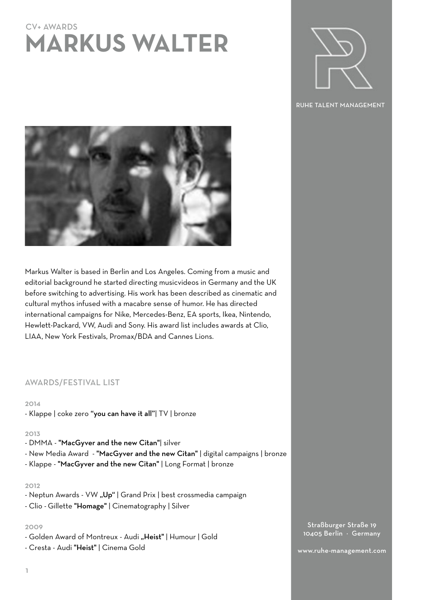# CV+ AWARDS **MARKUS WALTER**



RUHE TALENT MANAGEMENT



Markus Walter is based in Berlin and Los Angeles. Coming from a music and editorial background he started directing musicvideos in Germany and the UK before switching to advertising. His work has been described as cinematic and cultural mythos infused with a macabre sense of humor. He has directed international campaigns for Nike, Mercedes-Benz, EA sports, Ikea, Nintendo, Hewlett-Packard, VW, Audi and Sony. His award list includes awards at Clio, LIAA, New York Festivals, Promax/BDA and Cannes Lions.

# AWARDS/FESTIVAL LIST

#### 2014

- Klappe | coke zero "you can have it all"| TV | bronze

#### 2013

- DMMA "MacGyver and the new Citan"| silver
- New Media Award "MacGyver and the new Citan" | digital campaigns | bronze
- Klappe "MacGyver and the new Citan" | Long Format | bronze

#### 2012

- Neptun Awards VW "Up" | Grand Prix | best crossmedia campaign
- Clio Gillette "Homage" | Cinematography | Silver

## 2009

- Golden Award of Montreux Audi "Heist" | Humour | Gold
- Cresta Audi "Heist" | Cinema Gold

Straßburger Straße 19 10405 Berlin · Germany

www.ruhe-management.com